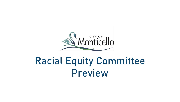

# Racial Equity Committee Preview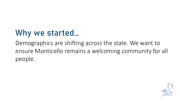## Why we started…

Demographics are shifting across the state. We want to ensure Monticello remains a welcoming community for all people.

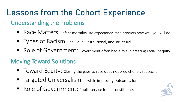## Lessons from the Cohort Experience

### Understanding the Problems

- Race Matters: Infant mortality-life expectancy, race predicts how well you will do.
- **Types of Racism:** Individual, institutional, and structural.
- Role of Government: Government often had a role in creating racial inequity.

#### Moving Toward Solutions

- Toward Equity: Closing the gaps so race does not predict one's success...
- Targeted Universalism: ...while improving outcomes for all.
- Role of Government: Public service for all constituents.

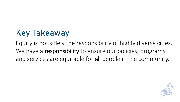# Key Takeaway

Equity is not solely the responsibility of highly diverse cities. We have a responsibility to ensure our policies, programs, and services are equitable for all people in the community.

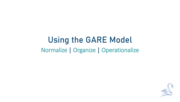### Using the GARE Model Normalize | Organize | Operationalize

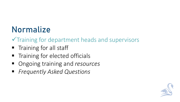## Normalize

✓Training for department heads and supervisors

- **Training for all staff**
- **The Theore is the Theore in Theore in Theorem** Training for elected officials
- Ongoing training and *resources*
- *Frequently Asked Questions*

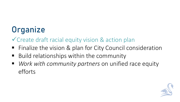# **Organize**

✓Create draft racial equity vision & action plan

- Finalize the vision & plan for City Council consideration
- Build relationships within the community
- Work with community partners on unified race equity efforts

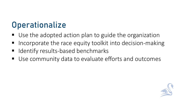### **Operationalize**

- Use the adopted action plan to guide the organization
- Incorporate the race equity toolkit into decision-making
- **E** Identify results-based benchmarks
- Use community data to evaluate efforts and outcomes